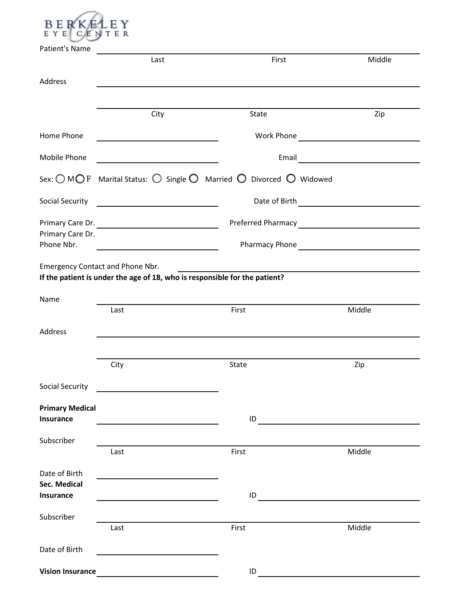

| Patient's Name                             | Last                                                                                                                  | First                                                             | Middle     |
|--------------------------------------------|-----------------------------------------------------------------------------------------------------------------------|-------------------------------------------------------------------|------------|
| Address                                    |                                                                                                                       |                                                                   |            |
|                                            |                                                                                                                       |                                                                   |            |
|                                            | City                                                                                                                  | State                                                             | Zip        |
| Home Phone                                 |                                                                                                                       |                                                                   | Work Phone |
| Mobile Phone                               | <u> 1980 - Johann Barbara, martin amerikan ba</u>                                                                     |                                                                   |            |
|                                            |                                                                                                                       | Sex: OMOF Marital Status: O Single O Married O Divorced O Widowed |            |
| Social Security                            | <u> 1990 - John Stein, Amerikaansk politiker (</u>                                                                    |                                                                   |            |
| Primary Care Dr.                           | Primary Care Dr.                                                                                                      |                                                                   |            |
| Phone Nbr.                                 | <u> 1989 - Johann Barn, mars et al. (</u>                                                                             |                                                                   |            |
|                                            | <b>Emergency Contact and Phone Nbr.</b><br>If the patient is under the age of 18, who is responsible for the patient? |                                                                   |            |
| Name                                       |                                                                                                                       |                                                                   |            |
|                                            | Last                                                                                                                  | First                                                             | Middle     |
| Address                                    |                                                                                                                       |                                                                   |            |
|                                            | City                                                                                                                  | State                                                             | Zip        |
|                                            |                                                                                                                       |                                                                   |            |
| Social Security                            |                                                                                                                       |                                                                   |            |
| <b>Primary Medical</b><br>Insurance        |                                                                                                                       | ID                                                                |            |
| Subscriber                                 |                                                                                                                       |                                                                   |            |
|                                            | Last                                                                                                                  | First                                                             | Middle     |
| Date of Birth<br>Sec. Medical<br>Insurance |                                                                                                                       | ID                                                                |            |
|                                            |                                                                                                                       |                                                                   |            |
| Subscriber                                 | Last                                                                                                                  | First                                                             | Middle     |
| Date of Birth                              |                                                                                                                       |                                                                   |            |
| <b>Vision Insurance</b>                    |                                                                                                                       | ID                                                                |            |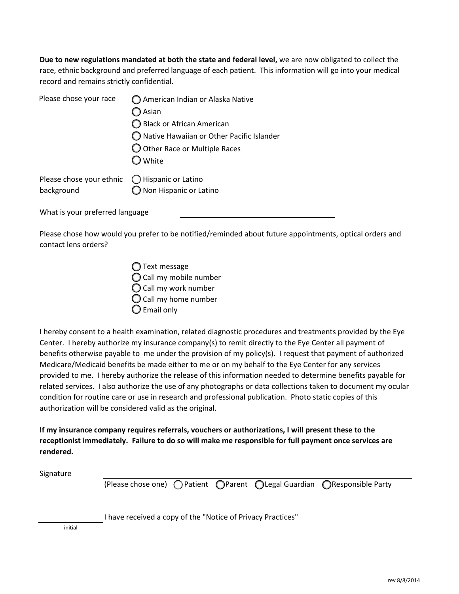**Due to new regulations mandated at both the state and federal level,** we are now obligated to collect the race, ethnic background and preferred language of each patient. This information will go into your medical record and remains strictly confidential.

| Please chose your race                                               | ◯ American Indian or Alaska Native<br>Asian<br>◯ Black or African American<br>◯ Native Hawaiian or Other Pacific Islander<br>O Other Race or Multiple Races<br>White |
|----------------------------------------------------------------------|----------------------------------------------------------------------------------------------------------------------------------------------------------------------|
| Please chose your ethnic $\bigcirc$ Hispanic or Latino<br>background | Non Hispanic or Latino                                                                                                                                               |

What is your preferred language

Please chose how would you prefer to be notified/reminded about future appointments, optical orders and contact lens orders?

| ◯ Text message          |  |
|-------------------------|--|
| ◯ Call my mobile number |  |
| C Call my work number   |  |
| ◯ Call my home number   |  |
| C Email only            |  |

I hereby consent to a health examination, related diagnostic procedures and treatments provided by the Eye Center. I hereby authorize my insurance company(s) to remit directly to the Eye Center all payment of benefits otherwise payable to me under the provision of my policy(s). I request that payment of authorized Medicare/Medicaid benefits be made either to me or on my behalf to the Eye Center for any services provided to me. I hereby authorize the release of this information needed to determine benefits payable for related services. I also authorize the use of any photographs or data collections taken to document my ocular condition for routine care or use in research and professional publication. Photo static copies of this authorization will be considered valid as the original.

**If my insurance company requires referrals, vouchers or authorizations, I will present these to the receptionist immediately. Failure to do so will make me responsible for full payment once services are rendered.**

Signature

(Please chose one)  $\bigcap$  Patient  $\bigcap$  Parent  $\bigcap$  Legal Guardian  $\bigcap$  Responsible Party

I have received a copy of the "Notice of Privacy Practices"

initial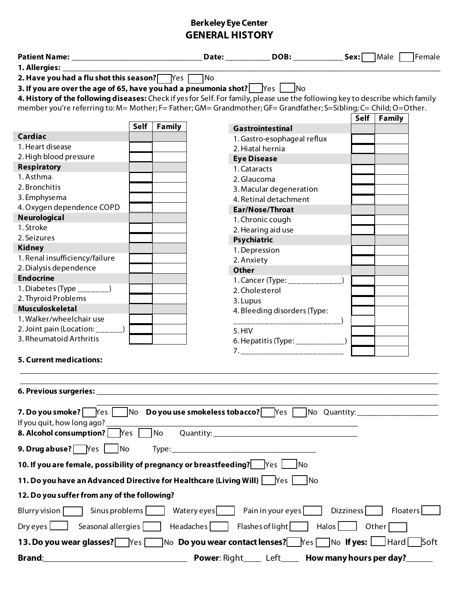# **Berkeley Eye Center GENERAL HISTORY**

|                                                                                                                                                                                                                                                                                                                                                                                                   |             |               |             |                                                                                                                         |                |               | Female          |  |  |
|---------------------------------------------------------------------------------------------------------------------------------------------------------------------------------------------------------------------------------------------------------------------------------------------------------------------------------------------------------------------------------------------------|-------------|---------------|-------------|-------------------------------------------------------------------------------------------------------------------------|----------------|---------------|-----------------|--|--|
| 1. Allergies:                                                                                                                                                                                                                                                                                                                                                                                     |             |               |             |                                                                                                                         |                |               |                 |  |  |
| 2. Have you had a flu shot this season?   Yes                                                                                                                                                                                                                                                                                                                                                     |             |               | <b>TNo</b>  |                                                                                                                         |                |               |                 |  |  |
| 3. If you are over the age of 65, have you had a pneumonia shot? $ \cdot $ $\forall$ es $ \cdot $ No                                                                                                                                                                                                                                                                                              |             |               |             |                                                                                                                         |                |               |                 |  |  |
| 4. History of the following diseases: Check if yes for Self. For family, please use the following key to describe which family                                                                                                                                                                                                                                                                    |             |               |             |                                                                                                                         |                |               |                 |  |  |
| member you're referring to: M= Mother; F= Father; GM= Grandmother; GF= Grandfather; S=Sibling; C= Child; O=Other.                                                                                                                                                                                                                                                                                 |             |               |             |                                                                                                                         |                |               |                 |  |  |
|                                                                                                                                                                                                                                                                                                                                                                                                   | <b>Self</b> | <b>Family</b> |             | <b>Gastrointestinal</b>                                                                                                 |                | Self   Family |                 |  |  |
| Cardiac                                                                                                                                                                                                                                                                                                                                                                                           |             |               |             | 1. Gastro-esophageal reflux                                                                                             |                |               |                 |  |  |
| 1. Heart disease                                                                                                                                                                                                                                                                                                                                                                                  |             |               |             | 2. Hiatal hernia                                                                                                        |                |               |                 |  |  |
| 2. High blood pressure                                                                                                                                                                                                                                                                                                                                                                            |             |               |             | <b>Eye Disease</b>                                                                                                      |                |               |                 |  |  |
| <b>Respiratory</b>                                                                                                                                                                                                                                                                                                                                                                                |             |               |             | 1. Cataracts                                                                                                            |                |               |                 |  |  |
| 1. Asthma                                                                                                                                                                                                                                                                                                                                                                                         |             |               |             | 2. Glaucoma                                                                                                             |                |               |                 |  |  |
| 2. Bronchitis                                                                                                                                                                                                                                                                                                                                                                                     |             |               |             | 3. Macular degeneration                                                                                                 |                |               |                 |  |  |
| 3. Emphysema                                                                                                                                                                                                                                                                                                                                                                                      |             |               |             | 4. Retinal detachment                                                                                                   |                |               |                 |  |  |
| 4. Oxygen dependence COPD                                                                                                                                                                                                                                                                                                                                                                         |             |               |             | Ear/Nose/Throat                                                                                                         |                |               |                 |  |  |
| <b>Neurological</b>                                                                                                                                                                                                                                                                                                                                                                               |             |               |             | 1. Chronic cough                                                                                                        |                |               |                 |  |  |
| 1. Stroke                                                                                                                                                                                                                                                                                                                                                                                         |             |               |             | 2. Hearing aid use                                                                                                      |                |               |                 |  |  |
| 2. Seizures                                                                                                                                                                                                                                                                                                                                                                                       |             |               |             | Psychiatric                                                                                                             |                |               |                 |  |  |
| <b>Kidney</b><br>1. Renal insufficiency/failure                                                                                                                                                                                                                                                                                                                                                   |             |               |             | 1. Depression                                                                                                           |                |               |                 |  |  |
| 2. Dialysis dependence                                                                                                                                                                                                                                                                                                                                                                            |             |               |             | 2. Anxiety                                                                                                              |                |               |                 |  |  |
| <b>Endocrine</b>                                                                                                                                                                                                                                                                                                                                                                                  |             |               |             | <b>Other</b>                                                                                                            |                |               |                 |  |  |
| 1. Diabetes (Type $\sqrt{2}$                                                                                                                                                                                                                                                                                                                                                                      |             |               |             | 1. Cancer (Type: ____________<br>2. Cholesterol                                                                         |                |               |                 |  |  |
| 2. Thyroid Problems                                                                                                                                                                                                                                                                                                                                                                               |             |               |             | 3. Lupus                                                                                                                |                |               |                 |  |  |
| <b>Musculoskeletal</b>                                                                                                                                                                                                                                                                                                                                                                            |             |               |             | 4. Bleeding disorders (Type:                                                                                            |                |               |                 |  |  |
| 1. Walker/wheelchair use                                                                                                                                                                                                                                                                                                                                                                          |             |               |             |                                                                                                                         |                |               |                 |  |  |
| 2. Joint pain (Location: $\frac{1}{1-\frac{1}{1-\frac{1}{1-\frac{1}{1-\frac{1}{1-\frac{1}{1-\frac{1}{1-\frac{1}{1-\frac{1}{1-\frac{1}{1-\frac{1}{1-\frac{1}{1-\frac{1}{1-\frac{1}{1-\frac{1}{1-\frac{1}{1-\frac{1}{1-\frac{1}{1-\frac{1}{1-\frac{1}{1-\frac{1}{1-\frac{1}{1-\frac{1}{1-\frac{1}{1-\frac{1}{1-\frac{1}{1-\frac{1}{1-\frac{1}{1-\frac{1}{1-\frac{1}{1-\frac{1}{1-\frac{1}{1-\frac{$ |             |               |             | 5.HIV                                                                                                                   |                |               |                 |  |  |
| 3. Rheumatoid Arthritis                                                                                                                                                                                                                                                                                                                                                                           |             |               |             |                                                                                                                         |                |               |                 |  |  |
|                                                                                                                                                                                                                                                                                                                                                                                                   |             |               |             |                                                                                                                         |                |               |                 |  |  |
| <b>5. Current medications:</b>                                                                                                                                                                                                                                                                                                                                                                    |             |               |             |                                                                                                                         |                |               |                 |  |  |
|                                                                                                                                                                                                                                                                                                                                                                                                   |             |               |             |                                                                                                                         |                |               |                 |  |  |
|                                                                                                                                                                                                                                                                                                                                                                                                   |             |               |             |                                                                                                                         |                |               |                 |  |  |
| 6. Previous surgeries:                                                                                                                                                                                                                                                                                                                                                                            |             |               |             |                                                                                                                         |                |               |                 |  |  |
| 7. Do you smoke? $\sqrt{$ Yes                                                                                                                                                                                                                                                                                                                                                                     |             |               |             | $\sqrt{\phantom{a}}$ No <b>Do you use smokeless tobacco?</b> $\sqrt{\phantom{a}}$ Yes $\sqrt{\phantom{a}}$ No Quantity: |                |               |                 |  |  |
|                                                                                                                                                                                                                                                                                                                                                                                                   |             |               |             |                                                                                                                         |                |               |                 |  |  |
| If you quit, how long ago?<br>8. Alcohol consumption?                                                                                                                                                                                                                                                                                                                                             | <b>Yes</b>  | No            |             |                                                                                                                         |                |               |                 |  |  |
|                                                                                                                                                                                                                                                                                                                                                                                                   |             |               |             |                                                                                                                         |                |               |                 |  |  |
| <b>9. Drug abuse?</b> $\begin{array}{ c c c c c } \hline \text{Yes} & \text{No} \\\hline \end{array}$                                                                                                                                                                                                                                                                                             |             |               |             |                                                                                                                         |                |               |                 |  |  |
| 10. If you are female, possibility of pregnancy or breastfeeding?    Yes                                                                                                                                                                                                                                                                                                                          |             |               |             | <b>INo</b>                                                                                                              |                |               |                 |  |  |
| 11. Do you have an Advanced Directive for Healthcare (Living Will)   Yes                                                                                                                                                                                                                                                                                                                          |             |               |             | <b>INo</b>                                                                                                              |                |               |                 |  |  |
| 12. Do you suffer from any of the following?                                                                                                                                                                                                                                                                                                                                                      |             |               |             |                                                                                                                         |                |               |                 |  |  |
| Sinus problems<br>Blurry vision $\lceil$                                                                                                                                                                                                                                                                                                                                                          |             |               | Watery eyes | Pain in your eyes                                                                                                       | Dizziness      |               | <b>Floaters</b> |  |  |
| $Dry$ eyes $\Box$<br>Seasonal allergies                                                                                                                                                                                                                                                                                                                                                           |             |               | Headaches   | Flashes of light                                                                                                        | $Halos$ $\Box$ | Other         |                 |  |  |
| 13. Do you wear glasses? Yes                                                                                                                                                                                                                                                                                                                                                                      |             |               |             | No $\,$ Do you wear contact lenses? Thes $\,$ T No $\,$ If yes: $\,$ $\,$ $\,$ Hard $\,$ $\,$                           |                |               | Soft            |  |  |
| Power: Right_____ Left_____<br>How many hours per day?<br><b>Brand:</b>                                                                                                                                                                                                                                                                                                                           |             |               |             |                                                                                                                         |                |               |                 |  |  |